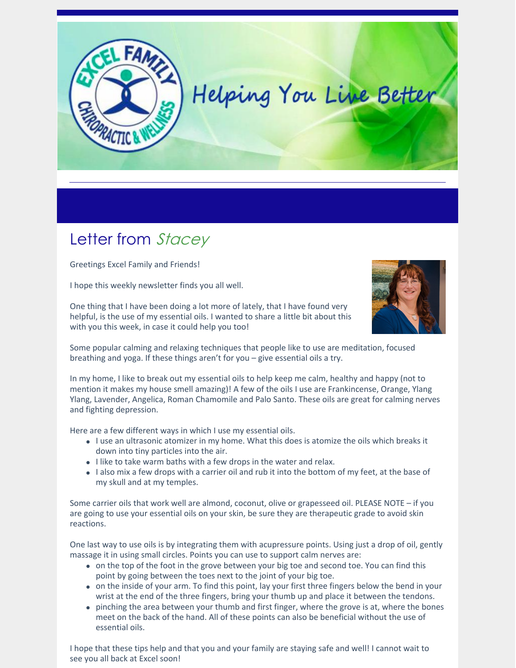

## Letter from Stacey

Greetings Excel Family and Friends!

I hope this weekly newsletter finds you all well.

One thing that I have been doing a lot more of lately, that I have found very helpful, is the use of my essential oils. I wanted to share a little bit about this with you this week, in case it could help you too!



Some popular calming and relaxing techniques that people like to use are meditation, focused breathing and yoga. If these things aren't for you – give essential oils a try.

In my home, I like to break out my essential oils to help keep me calm, healthy and happy (not to mention it makes my house smell amazing)! A few of the oils I use are Frankincense, Orange, Ylang Ylang, Lavender, Angelica, Roman Chamomile and Palo Santo. These oils are great for calming nerves and fighting depression.

Here are a few different ways in which I use my essential oils.

- I use an ultrasonic atomizer in my home. What this does is atomize the oils which breaks it down into tiny particles into the air.
- I like to take warm baths with a few drops in the water and relax.
- I also mix a few drops with a carrier oil and rub it into the bottom of my feet, at the base of my skull and at my temples.

Some carrier oils that work well are almond, coconut, olive or grapesseed oil. PLEASE NOTE – if you are going to use your essential oils on your skin, be sure they are therapeutic grade to avoid skin reactions.

One last way to use oils is by integrating them with acupressure points. Using just a drop of oil, gently massage it in using small circles. Points you can use to support calm nerves are:

- on the top of the foot in the grove between your big toe and second toe. You can find this point by going between the toes next to the joint of your big toe.
- on the inside of your arm. To find this point, lay your first three fingers below the bend in your wrist at the end of the three fingers, bring your thumb up and place it between the tendons.
- pinching the area between your thumb and first finger, where the grove is at, where the bones meet on the back of the hand. All of these points can also be beneficial without the use of essential oils.

I hope that these tips help and that you and your family are staying safe and well! I cannot wait to see you all back at Excel soon!